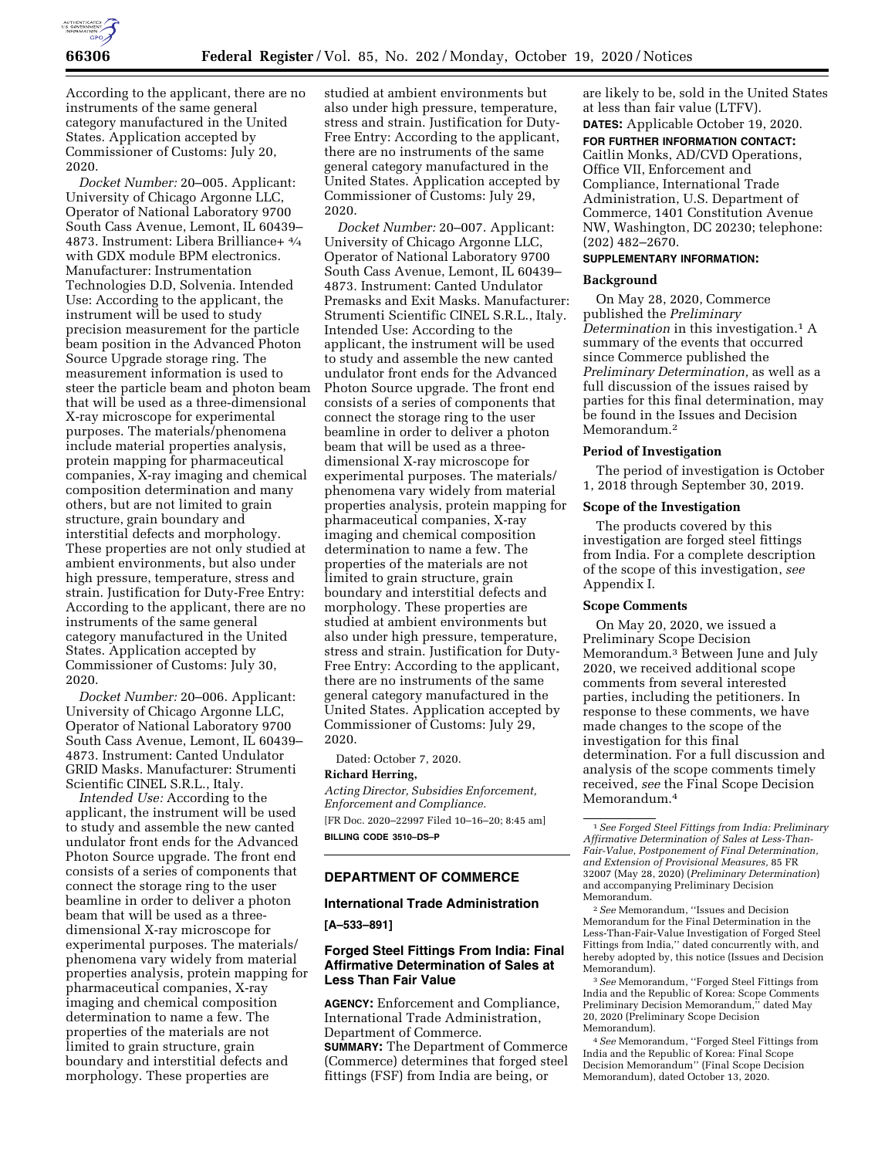

According to the applicant, there are no instruments of the same general category manufactured in the United States. Application accepted by Commissioner of Customs: July 20, 2020.

*Docket Number:* 20–005. Applicant: University of Chicago Argonne LLC, Operator of National Laboratory 9700 South Cass Avenue, Lemont, IL 60439– 4873. Instrument: Libera Brilliance+ 4⁄4 with GDX module BPM electronics. Manufacturer: Instrumentation Technologies D.D, Solvenia. Intended Use: According to the applicant, the instrument will be used to study precision measurement for the particle beam position in the Advanced Photon Source Upgrade storage ring. The measurement information is used to steer the particle beam and photon beam that will be used as a three-dimensional X-ray microscope for experimental purposes. The materials/phenomena include material properties analysis, protein mapping for pharmaceutical companies, X-ray imaging and chemical composition determination and many others, but are not limited to grain structure, grain boundary and interstitial defects and morphology. These properties are not only studied at ambient environments, but also under high pressure, temperature, stress and strain. Justification for Duty-Free Entry: According to the applicant, there are no instruments of the same general category manufactured in the United States. Application accepted by Commissioner of Customs: July 30, 2020.

*Docket Number:* 20–006. Applicant: University of Chicago Argonne LLC, Operator of National Laboratory 9700 South Cass Avenue, Lemont, IL 60439– 4873. Instrument: Canted Undulator GRID Masks. Manufacturer: Strumenti Scientific CINEL S.R.L., Italy.

*Intended Use:* According to the applicant, the instrument will be used to study and assemble the new canted undulator front ends for the Advanced Photon Source upgrade. The front end consists of a series of components that connect the storage ring to the user beamline in order to deliver a photon beam that will be used as a threedimensional X-ray microscope for experimental purposes. The materials/ phenomena vary widely from material properties analysis, protein mapping for pharmaceutical companies, X-ray imaging and chemical composition determination to name a few. The properties of the materials are not limited to grain structure, grain boundary and interstitial defects and morphology. These properties are

studied at ambient environments but also under high pressure, temperature, stress and strain. Justification for Duty-Free Entry: According to the applicant, there are no instruments of the same general category manufactured in the United States. Application accepted by Commissioner of Customs: July 29, 2020.

*Docket Number:* 20–007. Applicant: University of Chicago Argonne LLC, Operator of National Laboratory 9700 South Cass Avenue, Lemont, IL 60439– 4873. Instrument: Canted Undulator Premasks and Exit Masks. Manufacturer: Strumenti Scientific CINEL S.R.L., Italy. Intended Use: According to the applicant, the instrument will be used to study and assemble the new canted undulator front ends for the Advanced Photon Source upgrade. The front end consists of a series of components that connect the storage ring to the user beamline in order to deliver a photon beam that will be used as a threedimensional X-ray microscope for experimental purposes. The materials/ phenomena vary widely from material properties analysis, protein mapping for pharmaceutical companies, X-ray imaging and chemical composition determination to name a few. The properties of the materials are not limited to grain structure, grain boundary and interstitial defects and morphology. These properties are studied at ambient environments but also under high pressure, temperature, stress and strain. Justification for Duty-Free Entry: According to the applicant, there are no instruments of the same general category manufactured in the United States. Application accepted by Commissioner of Customs: July 29, 2020.

Dated: October 7, 2020. **Richard Herring,** 

*Acting Director, Subsidies Enforcement, Enforcement and Compliance.*  [FR Doc. 2020–22997 Filed 10–16–20; 8:45 am] **BILLING CODE 3510–DS–P** 

# **DEPARTMENT OF COMMERCE**

# **International Trade Administration**

**[A–533–891]** 

# **Forged Steel Fittings From India: Final Affirmative Determination of Sales at Less Than Fair Value**

**AGENCY:** Enforcement and Compliance, International Trade Administration, Department of Commerce. **SUMMARY:** The Department of Commerce (Commerce) determines that forged steel fittings (FSF) from India are being, or

are likely to be, sold in the United States at less than fair value (LTFV).

**DATES:** Applicable October 19, 2020.

**FOR FURTHER INFORMATION CONTACT:**  Caitlin Monks, AD/CVD Operations, Office VII, Enforcement and Compliance, International Trade Administration, U.S. Department of Commerce, 1401 Constitution Avenue NW, Washington, DC 20230; telephone: (202) 482–2670.

# **SUPPLEMENTARY INFORMATION:**

#### **Background**

On May 28, 2020, Commerce published the *Preliminary Determination* in this investigation.1 A summary of the events that occurred since Commerce published the *Preliminary Determination,* as well as a full discussion of the issues raised by parties for this final determination, may be found in the Issues and Decision Memorandum.<sup>2</sup>

#### **Period of Investigation**

The period of investigation is October 1, 2018 through September 30, 2019.

# **Scope of the Investigation**

The products covered by this investigation are forged steel fittings from India. For a complete description of the scope of this investigation, *see*  Appendix I.

### **Scope Comments**

On May 20, 2020, we issued a Preliminary Scope Decision Memorandum.3 Between June and July 2020, we received additional scope comments from several interested parties, including the petitioners. In response to these comments, we have made changes to the scope of the investigation for this final determination. For a full discussion and analysis of the scope comments timely received, *see* the Final Scope Decision Memorandum.4

2*See* Memorandum, ''Issues and Decision Memorandum for the Final Determination in the Less-Than-Fair-Value Investigation of Forged Steel Fittings from India,'' dated concurrently with, and hereby adopted by, this notice (Issues and Decision Memorandum).

3*See* Memorandum, ''Forged Steel Fittings from India and the Republic of Korea: Scope Comments Preliminary Decision Memorandum,'' dated May 20, 2020 (Preliminary Scope Decision Memorandum).

4*See* Memorandum, ''Forged Steel Fittings from India and the Republic of Korea: Final Scope Decision Memorandum'' (Final Scope Decision Memorandum), dated October 13, 2020.

<sup>1</sup>*See Forged Steel Fittings from India: Preliminary Affirmative Determination of Sales at Less-Than-Fair-Value, Postponement of Final Determination, and Extension of Provisional Measures,* 85 FR 32007 (May 28, 2020) (*Preliminary Determination*) and accompanying Preliminary Decision Memorandum.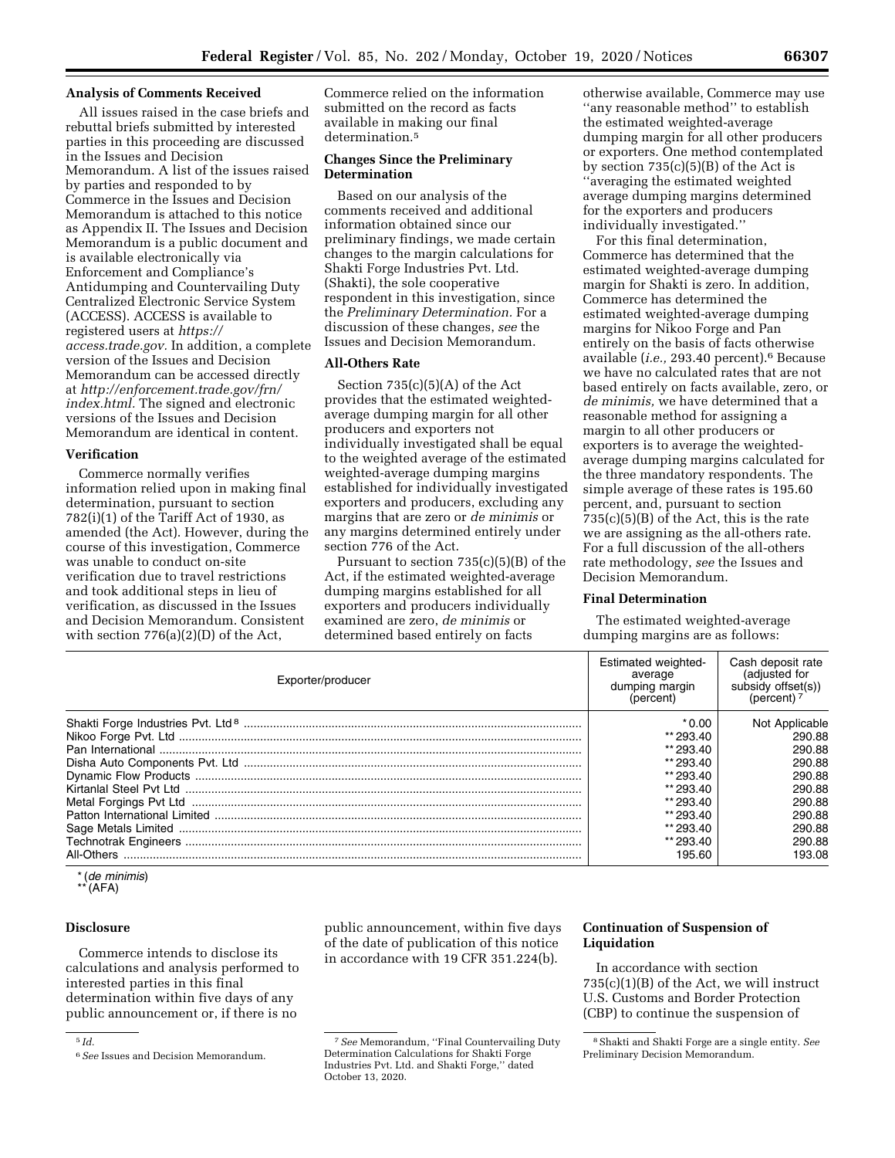#### **Analysis of Comments Received**

All issues raised in the case briefs and rebuttal briefs submitted by interested parties in this proceeding are discussed in the Issues and Decision Memorandum. A list of the issues raised by parties and responded to by Commerce in the Issues and Decision Memorandum is attached to this notice as Appendix II. The Issues and Decision Memorandum is a public document and is available electronically via Enforcement and Compliance's Antidumping and Countervailing Duty Centralized Electronic Service System (ACCESS). ACCESS is available to registered users at *[https://](https://access.trade.gov) [access.trade.gov.](https://access.trade.gov)* In addition, a complete version of the Issues and Decision Memorandum can be accessed directly at *[http://enforcement.trade.gov/frn/](http://enforcement.trade.gov/frn/index.html)  [index.html.](http://enforcement.trade.gov/frn/index.html)* The signed and electronic versions of the Issues and Decision Memorandum are identical in content.

#### **Verification**

Commerce normally verifies information relied upon in making final determination, pursuant to section  $782(i)(1)$  of the Tariff Act of 1930, as amended (the Act). However, during the course of this investigation, Commerce was unable to conduct on-site verification due to travel restrictions and took additional steps in lieu of verification, as discussed in the Issues and Decision Memorandum. Consistent with section 776(a)(2)(D) of the Act,

Commerce relied on the information submitted on the record as facts available in making our final determination.<sup>5</sup>

# **Changes Since the Preliminary Determination**

Based on our analysis of the comments received and additional information obtained since our preliminary findings, we made certain changes to the margin calculations for Shakti Forge Industries Pvt. Ltd. (Shakti), the sole cooperative respondent in this investigation, since the *Preliminary Determination.* For a discussion of these changes, *see* the Issues and Decision Memorandum.

# **All-Others Rate**

Section  $735(c)(5)(A)$  of the Act provides that the estimated weightedaverage dumping margin for all other producers and exporters not individually investigated shall be equal to the weighted average of the estimated weighted-average dumping margins established for individually investigated exporters and producers, excluding any margins that are zero or *de minimis* or any margins determined entirely under section 776 of the Act.

Pursuant to section 735(c)(5)(B) of the Act, if the estimated weighted-average dumping margins established for all exporters and producers individually examined are zero, *de minimis* or determined based entirely on facts

otherwise available, Commerce may use ''any reasonable method'' to establish the estimated weighted-average dumping margin for all other producers or exporters. One method contemplated by section  $735(c)(5)(B)$  of the Act is ''averaging the estimated weighted average dumping margins determined for the exporters and producers individually investigated.''

For this final determination, Commerce has determined that the estimated weighted-average dumping margin for Shakti is zero. In addition, Commerce has determined the estimated weighted-average dumping margins for Nikoo Forge and Pan entirely on the basis of facts otherwise available (*i.e.,* 293.40 percent).6 Because we have no calculated rates that are not based entirely on facts available, zero, or *de minimis,* we have determined that a reasonable method for assigning a margin to all other producers or exporters is to average the weightedaverage dumping margins calculated for the three mandatory respondents. The simple average of these rates is 195.60 percent, and, pursuant to section  $735(c)(5)(B)$  of the Act, this is the rate we are assigning as the all-others rate. For a full discussion of the all-others rate methodology, *see* the Issues and Decision Memorandum.

#### **Final Determination**

The estimated weighted-average dumping margins are as follows:

| Exporter/producer | Estimated weighted-<br>average<br>dumping margin<br>(percent) | Cash deposit rate<br>(adjusted for<br>subsidy offset(s))<br>(percent) $7$ |
|-------------------|---------------------------------------------------------------|---------------------------------------------------------------------------|
|                   | $*0.00$                                                       | Not Applicable                                                            |
|                   | ** 293.40                                                     | 290.88                                                                    |
|                   | ** 293.40                                                     | 290.88                                                                    |
|                   | ** 293.40                                                     | 290.88                                                                    |
|                   | ** 293.40                                                     | 290.88                                                                    |
|                   | ** 293.40                                                     | 290.88                                                                    |
|                   | ** 293.40                                                     | 290.88                                                                    |
|                   | ** 293.40                                                     | 290.88                                                                    |
|                   | ** 293.40                                                     | 290.88                                                                    |
|                   | ** 293.40                                                     | 290.88                                                                    |
| All-Others        | 195.60                                                        | 193.08                                                                    |

\* (*de minimis*)

 $(AFA)$ 

# **Disclosure**

Commerce intends to disclose its calculations and analysis performed to interested parties in this final determination within five days of any public announcement or, if there is no

public announcement, within five days of the date of publication of this notice in accordance with 19 CFR 351.224(b).

# **Continuation of Suspension of Liquidation**

In accordance with section 735(c)(1)(B) of the Act, we will instruct U.S. Customs and Border Protection (CBP) to continue the suspension of

<sup>5</sup> *Id.* 

<sup>6</sup>*See* Issues and Decision Memorandum.

<sup>7</sup>*See* Memorandum, ''Final Countervailing Duty Determination Calculations for Shakti Forge Industries Pvt. Ltd. and Shakti Forge,'' dated October 13, 2020.

<sup>8</sup>Shakti and Shakti Forge are a single entity. *See*  Preliminary Decision Memorandum.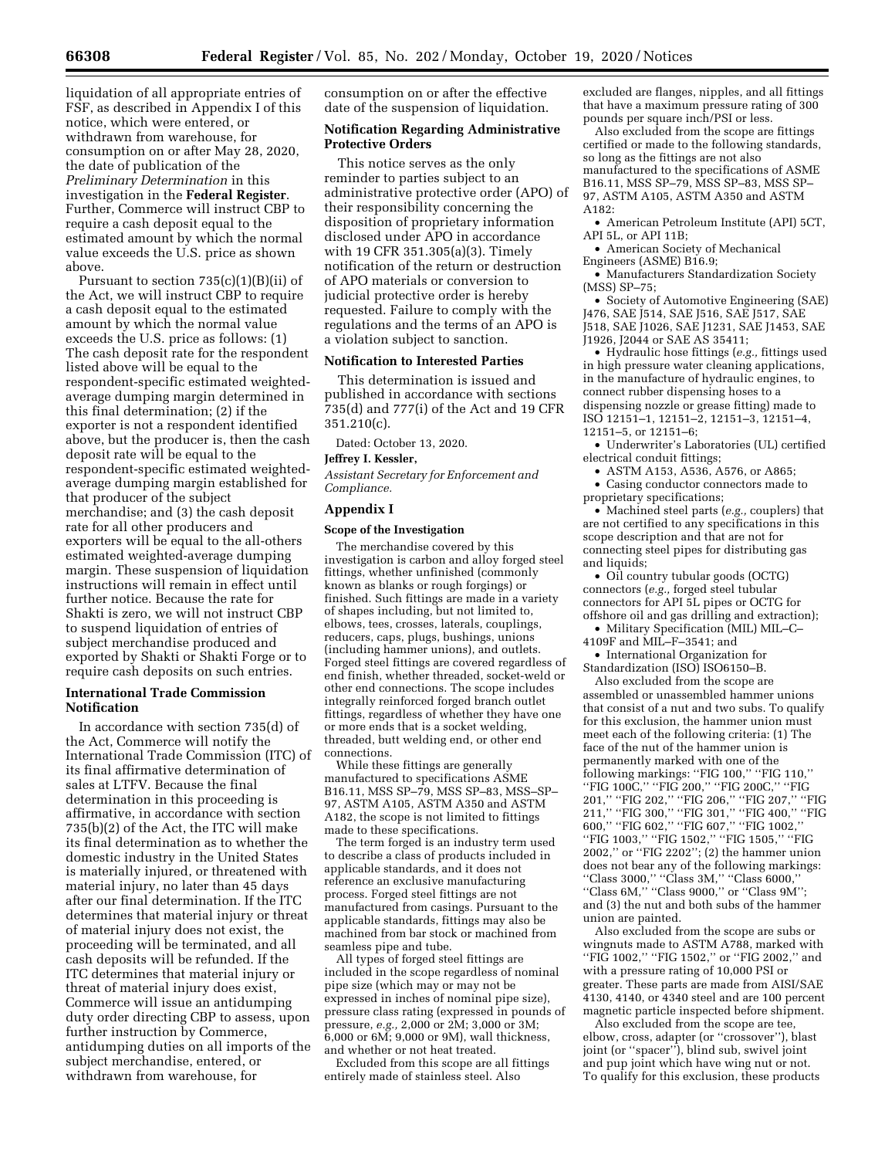liquidation of all appropriate entries of FSF, as described in Appendix I of this notice, which were entered, or withdrawn from warehouse, for consumption on or after May 28, 2020, the date of publication of the *Preliminary Determination* in this investigation in the **Federal Register**. Further, Commerce will instruct CBP to require a cash deposit equal to the estimated amount by which the normal value exceeds the U.S. price as shown above.

Pursuant to section  $735(c)(1)(B)(ii)$  of the Act, we will instruct CBP to require a cash deposit equal to the estimated amount by which the normal value exceeds the U.S. price as follows: (1) The cash deposit rate for the respondent listed above will be equal to the respondent-specific estimated weightedaverage dumping margin determined in this final determination; (2) if the exporter is not a respondent identified above, but the producer is, then the cash deposit rate will be equal to the respondent-specific estimated weightedaverage dumping margin established for that producer of the subject merchandise; and (3) the cash deposit rate for all other producers and exporters will be equal to the all-others estimated weighted-average dumping margin. These suspension of liquidation instructions will remain in effect until further notice. Because the rate for Shakti is zero, we will not instruct CBP to suspend liquidation of entries of subject merchandise produced and exported by Shakti or Shakti Forge or to require cash deposits on such entries.

### **International Trade Commission Notification**

In accordance with section 735(d) of the Act, Commerce will notify the International Trade Commission (ITC) of its final affirmative determination of sales at LTFV. Because the final determination in this proceeding is affirmative, in accordance with section 735(b)(2) of the Act, the ITC will make its final determination as to whether the domestic industry in the United States is materially injured, or threatened with material injury, no later than 45 days after our final determination. If the ITC determines that material injury or threat of material injury does not exist, the proceeding will be terminated, and all cash deposits will be refunded. If the ITC determines that material injury or threat of material injury does exist, Commerce will issue an antidumping duty order directing CBP to assess, upon further instruction by Commerce, antidumping duties on all imports of the subject merchandise, entered, or withdrawn from warehouse, for

consumption on or after the effective date of the suspension of liquidation.

# **Notification Regarding Administrative Protective Orders**

This notice serves as the only reminder to parties subject to an administrative protective order (APO) of their responsibility concerning the disposition of proprietary information disclosed under APO in accordance with 19 CFR 351.305(a)(3). Timely notification of the return or destruction of APO materials or conversion to judicial protective order is hereby requested. Failure to comply with the regulations and the terms of an APO is a violation subject to sanction.

### **Notification to Interested Parties**

This determination is issued and published in accordance with sections 735(d) and 777(i) of the Act and 19 CFR 351.210(c).

Dated: October 13, 2020.

#### **Jeffrey I. Kessler,**

*Assistant Secretary for Enforcement and Compliance.* 

# **Appendix I**

#### **Scope of the Investigation**

The merchandise covered by this investigation is carbon and alloy forged steel fittings, whether unfinished (commonly known as blanks or rough forgings) or finished. Such fittings are made in a variety of shapes including, but not limited to, elbows, tees, crosses, laterals, couplings, reducers, caps, plugs, bushings, unions (including hammer unions), and outlets. Forged steel fittings are covered regardless of end finish, whether threaded, socket-weld or other end connections. The scope includes integrally reinforced forged branch outlet fittings, regardless of whether they have one or more ends that is a socket welding, threaded, butt welding end, or other end connections.

While these fittings are generally manufactured to specifications ASME B16.11, MSS SP–79, MSS SP–83, MSS–SP– 97, ASTM A105, ASTM A350 and ASTM A182, the scope is not limited to fittings made to these specifications.

The term forged is an industry term used to describe a class of products included in applicable standards, and it does not reference an exclusive manufacturing process. Forged steel fittings are not manufactured from casings. Pursuant to the applicable standards, fittings may also be machined from bar stock or machined from seamless pipe and tube.

All types of forged steel fittings are included in the scope regardless of nominal pipe size (which may or may not be expressed in inches of nominal pipe size), pressure class rating (expressed in pounds of pressure, *e.g.,* 2,000 or 2M; 3,000 or 3M; 6,000 or 6M; 9,000 or 9M), wall thickness, and whether or not heat treated.

Excluded from this scope are all fittings entirely made of stainless steel. Also

excluded are flanges, nipples, and all fittings that have a maximum pressure rating of 300 pounds per square inch/PSI or less.

Also excluded from the scope are fittings certified or made to the following standards, so long as the fittings are not also manufactured to the specifications of ASME B16.11, MSS SP–79, MSS SP–83, MSS SP– 97, ASTM A105, ASTM A350 and ASTM A182:

• American Petroleum Institute (API) 5CT, API 5L, or API 11B;

• American Society of Mechanical Engineers (ASME) B16.9;

• Manufacturers Standardization Society (MSS) SP–75;

• Society of Automotive Engineering (SAE) J476, SAE J514, SAE J516, SAE J517, SAE J518, SAE J1026, SAE J1231, SAE J1453, SAE J1926, J2044 or SAE AS 35411;

• Hydraulic hose fittings (*e.g.,* fittings used in high pressure water cleaning applications, in the manufacture of hydraulic engines, to connect rubber dispensing hoses to a dispensing nozzle or grease fitting) made to ISO 12151–1, 12151–2, 12151–3, 12151–4, 12151–5, or 12151–6;

• Underwriter's Laboratories (UL) certified electrical conduit fittings;

• ASTM A153, A536, A576, or A865;

• Casing conductor connectors made to proprietary specifications;

• Machined steel parts (*e.g.,* couplers) that are not certified to any specifications in this scope description and that are not for connecting steel pipes for distributing gas and liquids:

• Oil country tubular goods (OCTG) connectors (*e.g.,* forged steel tubular connectors for API 5L pipes or OCTG for offshore oil and gas drilling and extraction);

• Military Specification (MIL) MIL–C– 4109F and MIL–F–3541; and

• International Organization for

Standardization (ISO) ISO6150–B. Also excluded from the scope are assembled or unassembled hammer unions that consist of a nut and two subs. To qualify for this exclusion, the hammer union must meet each of the following criteria: (1) The face of the nut of the hammer union is permanently marked with one of the following markings: ''FIG 100,'' ''FIG 110,'' ''FIG 100C,'' ''FIG 200,'' ''FIG 200C,'' ''FIG 201," "FIG 202," "FIG 206," "FIG 207," "FIG 211,'' ''FIG 300,'' ''FIG 301,'' ''FIG 400,'' ''FIG 600,'' ''FIG 602,'' ''FIG 607,'' ''FIG 1002,'' ''FIG 1003,'' ''FIG 1502,'' ''FIG 1505,'' ''FIG 2002,'' or ''FIG 2202''; (2) the hammer union

does not bear any of the following markings: ''Class 3000,'' ''Class 3M,'' ''Class 6000,'' ''Class 6M,'' ''Class 9000,'' or ''Class 9M''; and (3) the nut and both subs of the hammer union are painted.

Also excluded from the scope are subs or wingnuts made to ASTM A788, marked with ''FIG 1002,'' ''FIG 1502,'' or ''FIG 2002,'' and with a pressure rating of 10,000 PSI or greater. These parts are made from AISI/SAE 4130, 4140, or 4340 steel and are 100 percent magnetic particle inspected before shipment.

Also excluded from the scope are tee, elbow, cross, adapter (or ''crossover''), blast joint (or ''spacer''), blind sub, swivel joint and pup joint which have wing nut or not. To qualify for this exclusion, these products